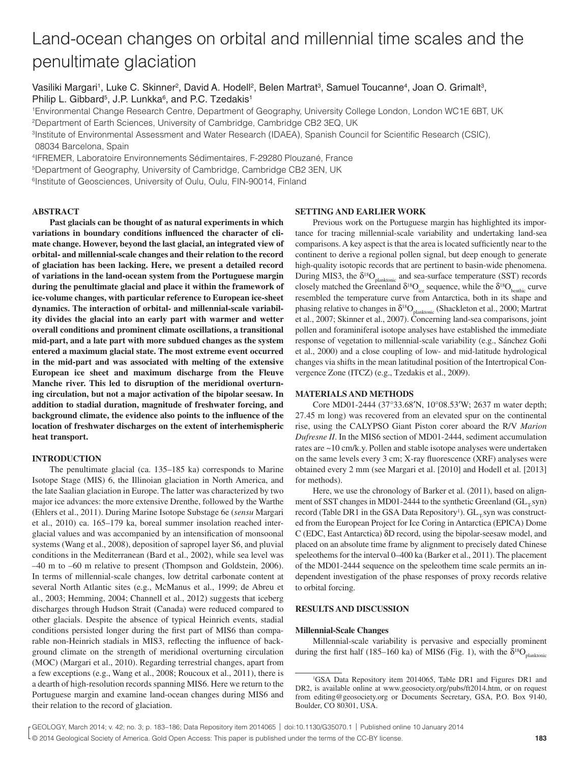# Land-ocean changes on orbital and millennial time scales and the penultimate glaciation

Vasiliki Margari<sup>1</sup>, Luke C. Skinner<sup>2</sup>, David A. Hodell<sup>2</sup>, Belen Martrat<sup>3</sup>, Samuel Toucanne<sup>4</sup>, Joan O. Grimalt<sup>3</sup>, Philip L. Gibbard<sup>5</sup>, J.P. Lunkka<sup>6</sup>, and P.C. Tzedakis<sup>1</sup>

1Environmental Change Research Centre, Department of Geography, University College London, London WC1E 6BT, UK 2Department of Earth Sciences, University of Cambridge, Cambridge CB2 3EQ, UK

<sup>3</sup> Institute of Environmental Assessment and Water Research (IDAEA), Spanish Council for Scientific Research (CSIC), 08034 Barcelona, Spain

4IFREMER, Laboratoire Environnements Sédimentaires, F-29280 Plouzané, France

5Department of Geography, University of Cambridge, Cambridge CB2 3EN, UK

<sup>6</sup>Institute of Geosciences, University of Oulu, Oulu, FIN-90014, Finland

# **ABSTRACT**

**Past glacials can be thought of as natural experiments in which**  variations in boundary conditions influenced the character of cli**mate change. However, beyond the last glacial, an integrated view of orbital- and millennial-scale changes and their relation to the record of glaciation has been lacking. Here, we present a detailed record of variations in the land-ocean system from the Portuguese margin during the penultimate glacial and place it within the framework of ice-volume changes, with particular reference to European ice-sheet dynamics. The interaction of orbital- and millennial-scale variability divides the glacial into an early part with warmer and wetter overall conditions and prominent climate oscillations, a transitional mid-part, and a late part with more subdued changes as the system entered a maximum glacial state. The most extreme event occurred in the mid-part and was associated with melting of the extensive European ice sheet and maximum discharge from the Fleuve Manche river. This led to disruption of the meridional overturning circulation, but not a major activation of the bipolar seesaw. In addition to stadial duration, magnitude of freshwater forcing, and**  background climate, the evidence also points to the influence of the **location of freshwater discharges on the extent of interhemispheric heat transport.**

# **INTRODUCTION**

The penultimate glacial (ca. 135–185 ka) corresponds to Marine Isotope Stage (MIS) 6, the Illinoian glaciation in North America, and the late Saalian glaciation in Europe. The latter was characterized by two major ice advances: the more extensive Drenthe, followed by the Warthe (Ehlers et al., 2011). During Marine Isotope Substage 6e (*sensu* Margari et al., 2010) ca. 165–179 ka, boreal summer insolation reached interglacial values and was accompanied by an intensification of monsoonal systems (Wang et al., 2008), deposition of sapropel layer S6, and pluvial conditions in the Mediterranean (Bard et al., 2002), while sea level was –40 m to –60 m relative to present (Thompson and Goldstein, 2006). In terms of millennial-scale changes, low detrital carbonate content at several North Atlantic sites (e.g., McManus et al., 1999; de Abreu et al., 2003; Hemming, 2004; Channell et al., 2012) suggests that iceberg discharges through Hudson Strait (Canada) were reduced compared to other glacials. Despite the absence of typical Heinrich events, stadial conditions persisted longer during the first part of MIS6 than comparable non-Heinrich stadials in MIS3, reflecting the influence of background climate on the strength of meridional overturning circulation (MOC) (Margari et al., 2010). Regarding terrestrial changes, apart from a few exceptions (e.g., Wang et al., 2008; Roucoux et al., 2011), there is a dearth of high-resolution records spanning MIS6. Here we return to the Portuguese margin and examine land-ocean changes during MIS6 and their relation to the record of glaciation.

# **SETTING AND EARLIER WORK**

Previous work on the Portuguese margin has highlighted its importance for tracing millennial-scale variability and undertaking land-sea comparisons. A key aspect is that the area is located sufficiently near to the continent to derive a regional pollen signal, but deep enough to generate high-quality isotopic records that are pertinent to basin-wide phenomena. During MIS3, the  $\delta^{18}O_{\text{planktonic}}$  and sea-surface temperature (SST) records closely matched the Greenland  $\delta^{18}O_{\text{ice}}$  sequence, while the  $\delta^{18}O_{\text{benthic}}$  curve resembled the temperature curve from Antarctica, both in its shape and phasing relative to changes in  $\delta^{18}O_{\text{planktonic}}$  (Shackleton et al., 2000; Martrat et al., 2007; Skinner et al., 2007). Concerning land-sea comparisons, joint pollen and foraminiferal isotope analyses have established the immediate response of vegetation to millennial-scale variability (e.g., Sánchez Goñi et al., 2000) and a close coupling of low- and mid-latitude hydrological changes via shifts in the mean latitudinal position of the Intertropical Convergence Zone (ITCZ) (e.g., Tzedakis et al., 2009).

## **MATERIALS AND METHODS**

Core MD01-2444 (37°33.68′N, 10°08.53′W; 2637 m water depth; 27.45 m long) was recovered from an elevated spur on the continental rise, using the CALYPSO Giant Piston corer aboard the R/V *Marion Dufresne II*. In the MIS6 section of MD01-2444, sediment accumulation rates are ~10 cm/k.y. Pollen and stable isotope analyses were undertaken on the same levels every 3 cm; X-ray fluorescence (XRF) analyses were obtained every 2 mm (see Margari et al. [2010] and Hodell et al. [2013] for methods).

Here, we use the chronology of Barker et al. (2011), based on alignment of SST changes in MD01-2444 to the synthetic Greenland  $(GL<sub>x</sub>syn)$ record (Table DR1 in the GSA Data Repository<sup>1</sup>).  $GL_{T}$ syn was constructed from the European Project for Ice Coring in Antarctica (EPICA) Dome C (EDC, East Antarctica) δD record, using the bipolar-seesaw model, and placed on an absolute time frame by alignment to precisely dated Chinese speleothems for the interval 0–400 ka (Barker et al., 2011). The placement of the MD01-2444 sequence on the speleothem time scale permits an independent investigation of the phase responses of proxy records relative to orbital forcing.

# **RESULTS AND DISCUSSION**

#### **Millennial-Scale Changes**

Millennial-scale variability is pervasive and especially prominent during the first half (185–160 ka) of MIS6 (Fig. 1), with the  $\delta^{18}O_{\text{plustonic}}$ 

<sup>1</sup> GSA Data Repository item 2014065, Table DR1 and Figures DR1 and DR2, is available online at www.geosociety.org/pubs/ft2014.htm, or on request from editing@geosociety.org or Documents Secretary, GSA, P.O. Box 9140, Boulder, CO 80301, USA.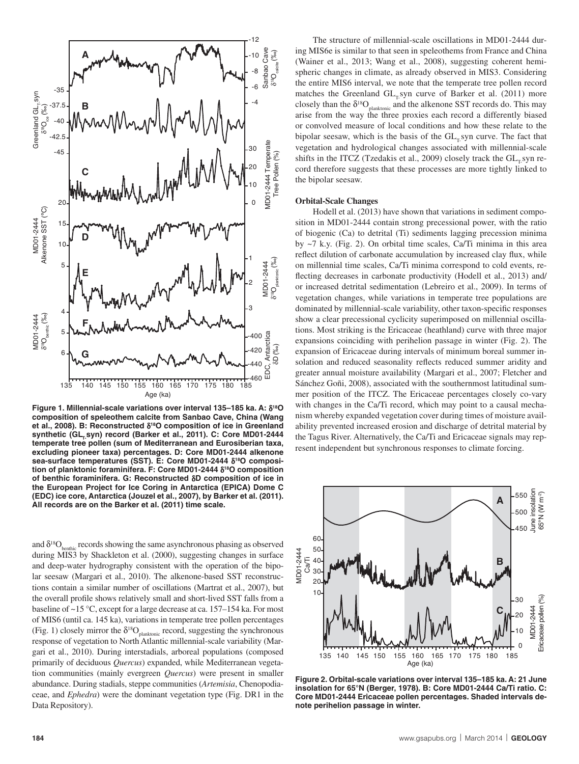

**Figure 1. Millennial-scale variations over interval 135–185 ka. A:** δ**18O composition of speleothem calcite from Sanbao Cave, China (Wang et al., 2008). B: Reconstructed** δ**18O composition of ice in Greenland**  synthetic (GL<sub>r.</sub>syn) record (Barker et al., 2011). C: Core MD01-2444 **temperate tree pollen (sum of Mediterranean and Eurosiberian taxa, excluding pioneer taxa) percentages. D: Core MD01-2444 alkenone sea-surface temperatures (SST). E: Core MD01-2444** δ**18O composition of planktonic foraminifera. F: Core MD01-2444** δ**18O composition of benthic foraminifera. G: Reconstructed** δ**D composition of ice in the European Project for Ice Coring in Antarctica (EPICA) Dome C (EDC) ice core, Antarctica (Jouzel et al., 2007), by Barker et al. (2011). All records are on the Barker et al. (2011) time scale.**

and  $\delta^{18}O_{\text{benthic}}$  records showing the same asynchronous phasing as observed during MIS3 by Shackleton et al. (2000), suggesting changes in surface and deep-water hydrography consistent with the operation of the bipolar seesaw (Margari et al., 2010). The alkenone-based SST reconstructions contain a similar number of oscillations (Martrat et al., 2007), but the overall profile shows relatively small and short-lived SST falls from a baseline of ~15 °C, except for a large decrease at ca. 157–154 ka. For most of MIS6 (until ca. 145 ka), variations in temperate tree pollen percentages (Fig. 1) closely mirror the  $\delta^{18}O_{\text{plankonic}}$  record, suggesting the synchronous response of vegetation to North Atlantic millennial-scale variability (Margari et al., 2010). During interstadials, arboreal populations (composed primarily of deciduous *Quercus*) expanded, while Mediterranean vegetation communities (mainly evergreen *Quercus*) were present in smaller abundance. During stadials, steppe communities (*Artemisia*, Chenopodiaceae, and *Ephedra*) were the dominant vegetation type (Fig. DR1 in the Data Repository).

The structure of millennial-scale oscillations in MD01-2444 during MIS6e is similar to that seen in speleothems from France and China (Wainer et al., 2013; Wang et al., 2008), suggesting coherent hemispheric changes in climate, as already observed in MIS3. Considering the entire MIS6 interval, we note that the temperate tree pollen record matches the Greenland  $GL<sub>r</sub>$  syn curve of Barker et al. (2011) more closely than the  $\delta^{18}O_{\text{planktonic}}$  and the alkenone SST records do. This may arise from the way the three proxies each record a differently biased or convolved measure of local conditions and how these relate to the bipolar seesaw, which is the basis of the  $GL<sub>r</sub>$ syn curve. The fact that vegetation and hydrological changes associated with millennial-scale shifts in the ITCZ (Tzedakis et al., 2009) closely track the  $GL<sub>r</sub>$ syn record therefore suggests that these processes are more tightly linked to the bipolar seesaw.

# **Orbital-Scale Changes**

Hodell et al. (2013) have shown that variations in sediment composition in MD01-2444 contain strong precessional power, with the ratio of biogenic (Ca) to detrital (Ti) sediments lagging precession minima by ~7 k.y. (Fig. 2). On orbital time scales, Ca/Ti minima in this area reflect dilution of carbonate accumulation by increased clay flux, while on millennial time scales, Ca/Ti minima correspond to cold events, reflecting decreases in carbonate productivity (Hodell et al., 2013) and/ or increased detrital sedimentation (Lebreiro et al., 2009). In terms of vegetation changes, while variations in temperate tree populations are dominated by millennial-scale variability, other taxon-specific responses show a clear precessional cyclicity superimposed on millennial oscillations. Most striking is the Ericaceae (heathland) curve with three major expansions coinciding with perihelion passage in winter (Fig. 2). The expansion of Ericaceae during intervals of minimum boreal summer insolation and reduced seasonality reflects reduced summer aridity and greater annual moisture availability (Margari et al., 2007; Fletcher and Sánchez Goñi, 2008), associated with the southernmost latitudinal summer position of the ITCZ. The Ericaceae percentages closely co-vary with changes in the Ca/Ti record, which may point to a causal mechanism whereby expanded vegetation cover during times of moisture availability prevented increased erosion and discharge of detrital material by the Tagus River. Alternatively, the Ca/Ti and Ericaceae signals may represent independent but synchronous responses to climate forcing.



**Figure 2. Orbital-scale variations over interval 135–185 ka. A: 21 June insolation for 65°N (Berger, 1978). B: Core MD01-2444 Ca/Ti ratio. C: Core MD01-2444 Ericaceae pollen percentages. Shaded intervals denote perihelion passage in winter.**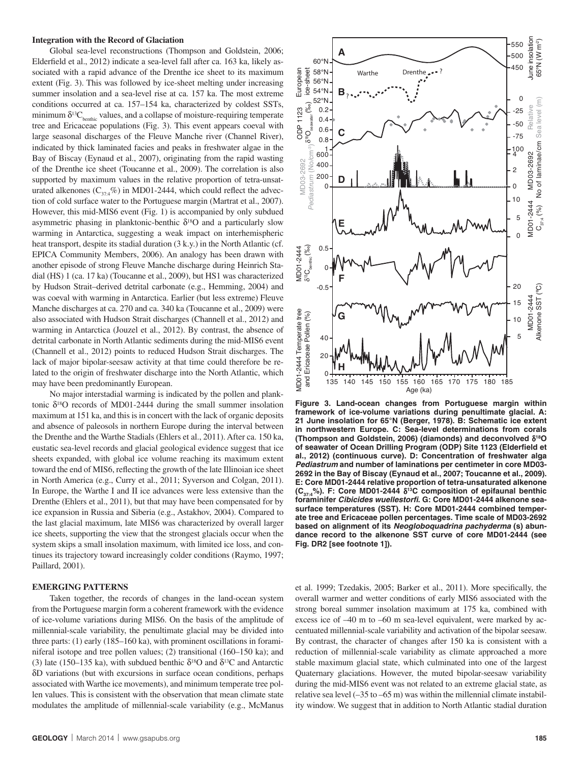## **Integration with the Record of Glaciation**

Global sea-level reconstructions (Thompson and Goldstein, 2006; Elderfield et al., 2012) indicate a sea-level fall after ca. 163 ka, likely associated with a rapid advance of the Drenthe ice sheet to its maximum extent (Fig. 3). This was followed by ice-sheet melting under increasing summer insolation and a sea-level rise at ca. 157 ka. The most extreme conditions occurred at ca. 157–154 ka, characterized by coldest SSTs, minimum  $\delta^{13}C_{\text{benthic}}$  values, and a collapse of moisture-requiring temperate tree and Ericaceae populations (Fig. 3). This event appears coeval with large seasonal discharges of the Fleuve Manche river (Channel River), indicated by thick laminated facies and peaks in freshwater algae in the Bay of Biscay (Eynaud et al., 2007), originating from the rapid wasting of the Drenthe ice sheet (Toucanne et al., 2009). The correlation is also supported by maximum values in the relative proportion of tetra-unsaturated alkenones ( $C_{37.4}\%$ ) in MD01-2444, which could reflect the advection of cold surface water to the Portuguese margin (Martrat et al., 2007). However, this mid-MIS6 event (Fig. 1) is accompanied by only subdued asymmetric phasing in planktonic-benthic  $\delta^{18}$ O and a particularly slow warming in Antarctica, suggesting a weak impact on interhemispheric heat transport, despite its stadial duration (3 k.y.) in the North Atlantic (cf. EPICA Community Members, 2006). An analogy has been drawn with another episode of strong Fleuve Manche discharge during Heinrich Stadial (HS) 1 (ca. 17 ka) (Toucanne et al., 2009), but HS1 was characterized by Hudson Strait–derived detrital carbonate (e.g., Hemming, 2004) and was coeval with warming in Antarctica. Earlier (but less extreme) Fleuve Manche discharges at ca. 270 and ca. 340 ka (Toucanne et al., 2009) were also associated with Hudson Strait discharges (Channell et al., 2012) and warming in Antarctica (Jouzel et al., 2012). By contrast, the absence of detrital carbonate in North Atlantic sediments during the mid-MIS6 event (Channell et al., 2012) points to reduced Hudson Strait discharges. The lack of major bipolar-seesaw activity at that time could therefore be related to the origin of freshwater discharge into the North Atlantic, which may have been predominantly European.

No major interstadial warming is indicated by the pollen and planktonic  $\delta^{18}$ O records of MD01-2444 during the small summer insolation maximum at 151 ka, and this is in concert with the lack of organic deposits and absence of paleosols in northern Europe during the interval between the Drenthe and the Warthe Stadials (Ehlers et al., 2011). After ca. 150 ka, eustatic sea-level records and glacial geological evidence suggest that ice sheets expanded, with global ice volume reaching its maximum extent toward the end of MIS6, reflecting the growth of the late Illinoian ice sheet in North America (e.g., Curry et al., 2011; Syverson and Colgan, 2011). In Europe, the Warthe I and II ice advances were less extensive than the Drenthe (Ehlers et al., 2011), but that may have been compensated for by ice expansion in Russia and Siberia (e.g., Astakhov, 2004). Compared to the last glacial maximum, late MIS6 was characterized by overall larger ice sheets, supporting the view that the strongest glacials occur when the system skips a small insolation maximum, with limited ice loss, and continues its trajectory toward increasingly colder conditions (Raymo, 1997; Paillard, 2001).

#### **EMERGING PATTERNS**

Taken together, the records of changes in the land-ocean system from the Portuguese margin form a coherent framework with the evidence of ice-volume variations during MIS6. On the basis of the amplitude of millennial-scale variability, the penultimate glacial may be divided into three parts: (1) early (185–160 ka), with prominent oscillations in foraminiferal isotope and tree pollen values; (2) transitional (160–150 ka); and (3) late (150–135 ka), with subdued benthic  $\delta^{18}$ O and  $\delta^{13}$ C and Antarctic δD variations (but with excursions in surface ocean conditions, perhaps associated with Warthe ice movements), and minimum temperate tree pollen values. This is consistent with the observation that mean climate state modulates the amplitude of millennial-scale variability (e.g., McManus



**Figure 3. Land-ocean changes from Portuguese margin within framework of ice-volume variations during penultimate glacial. A: 21 June insolation for 65°N (Berger, 1978). B: Schematic ice extent in northwestern Europe. C: Sea-level determinations from corals (Thompson and Goldstein, 2006) (diamonds) and deconvolved** δ**18O**  of seawater of Ocean Drilling Program (ODP) Site 1123 (Elderfield et **al., 2012) (continuous curve). D: Concentration of freshwater alga**  *Pediastrum* **and number of laminations per centimeter in core MD03- 2692 in the Bay of Biscay (Eynaud et al., 2007; Toucanne et al., 2009). E: Core MD01-2444 relative proportion of tetra-unsaturated alkenone (C37:4%). F: Core MD01-2444** δ**13C composition of epifaunal benthic foraminifer** *Cibicides wuellestorfi***. G: Core MD01-2444 alkenone seasurface temperatures (SST). H: Core MD01-2444 combined temperate tree and Ericaceae pollen percentages. Time scale of MD03-2692 based on alignment of its** *Neogloboquadrina pachyderma* **(s) abundance record to the alkenone SST curve of core MD01-2444 (see Fig. DR2 [see footnote 1]).**

et al. 1999; Tzedakis, 2005; Barker et al., 2011). More specifically, the overall warmer and wetter conditions of early MIS6 associated with the strong boreal summer insolation maximum at 175 ka, combined with excess ice of –40 m to –60 m sea-level equivalent, were marked by accentuated millennial-scale variability and activation of the bipolar seesaw. By contrast, the character of changes after 150 ka is consistent with a reduction of millennial-scale variability as climate approached a more stable maximum glacial state, which culminated into one of the largest Quaternary glaciations. However, the muted bipolar-seesaw variability during the mid-MIS6 event was not related to an extreme glacial state, as relative sea level (–35 to –65 m) was within the millennial climate instability window. We suggest that in addition to North Atlantic stadial duration